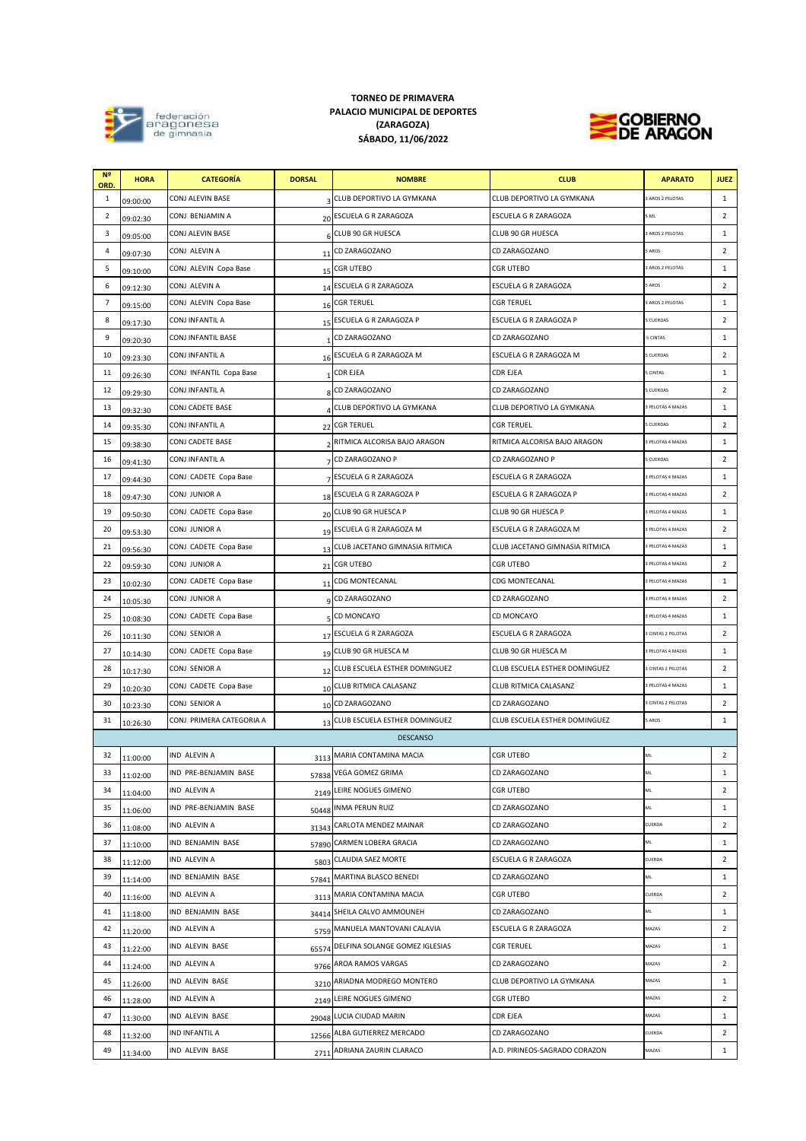| N <sup>2</sup><br>ORD. | <b>HORA</b> | <b>CATEGORÍA</b>         | <b>DORSAL</b> | <b>NOMBRE</b>                     | <b>CLUB</b>                    | <b>APARATO</b>           | <b>JUEZ</b>    |
|------------------------|-------------|--------------------------|---------------|-----------------------------------|--------------------------------|--------------------------|----------------|
| 1                      | 09:00:00    | CONJ ALEVIN BASE         |               | 3 CLUB DEPORTIVO LA GYMKANA       | CLUB DEPORTIVO LA GYMKANA      | 3 AROS 2 PELOTAS         | $\mathbf{1}$   |
| $\overline{2}$         | 09:02:30    | CONJ BENJAMIN A          |               | 20 ESCUELA G R ZARAGOZA           | ESCUELA G R ZARAGOZA           | 5 ML                     | $\overline{2}$ |
| 3                      | 09:05:00    | CONJ ALEVIN BASE         |               | 6 CLUB 90 GR HUESCA               | CLUB 90 GR HUESCA              | <b>AROS 2 PELOTAS</b>    | 1              |
| 4                      | 09:07:30    | CONJ ALEVIN A            |               | 11 CD ZARAGOZANO                  | CD ZARAGOZANO                  | <b>AROS</b>              | $\overline{2}$ |
| 5                      | 09:10:00    | CONJ ALEVIN Copa Base    |               | 15 CGR UTEBO                      | <b>CGR UTEBO</b>               | <b>AROS 2 PELOTAS</b>    | $\mathbf{1}$   |
| 6                      | 09:12:30    | CONJ ALEVIN A            |               | 14 ESCUELA G R ZARAGOZA           | <b>ESCUELA G R ZARAGOZA</b>    | <b>AROS</b>              | $\overline{2}$ |
| $\overline{7}$         | 09:15:00    | CONJ ALEVIN Copa Base    |               | 16 CGR TERUEL                     | <b>CGR TERUEL</b>              | AROS 2 PELOTAS           | 1              |
| 8                      | 09:17:30    | CONJ INFANTIL A          |               | 15 ESCUELA G R ZARAGOZA P         | ESCUELA G R ZARAGOZA P         | <b>CUERDAS</b>           | $\overline{2}$ |
| 9                      | 09:20:30    | CONJ INFANTIL BASE       |               | CD ZARAGOZANO                     | CD ZARAGOZANO                  | <b>5 CINTAS</b>          | 1              |
| 10                     | 09:23:30    | CONJ INFANTIL A          |               | 16 ESCUELA G R ZARAGOZA M         | ESCUELA G R ZARAGOZA M         | 5 CUERDAS                | $\overline{2}$ |
| 11                     | 09:26:30    | CONJ INFANTIL Copa Base  | $\mathbf{1}$  | <b>CDR EJEA</b>                   | <b>CDR EJEA</b>                | <b>5 CINTAS</b>          | $\mathbf{1}$   |
| 12                     | 09:29:30    | <b>CONJ INFANTIL A</b>   |               | 8 CD ZARAGOZANO                   | CD ZARAGOZANO                  | 5 CUERDAS                | $\overline{2}$ |
| 13                     | 09:32:30    | CONJ CADETE BASE         |               | 4 CLUB DEPORTIVO LA GYMKANA       | CLUB DEPORTIVO LA GYMKANA      | <b>B PELOTAS 4 MAZAS</b> | $\mathbf{1}$   |
| 14                     | 09:35:30    | CONJ INFANTIL A          |               | 22 CGR TERUEL                     | <b>CGR TERUEL</b>              | 5 CUERDAS                | $\overline{2}$ |
| 15                     | 09:38:30    | CONJ CADETE BASE         |               | 2 RITMICA ALCORISA BAJO ARAGON    | RITMICA ALCORISA BAJO ARAGON   | <b>B PELOTAS 4 MAZAS</b> | $\mathbf{1}$   |
| 16                     | 09:41:30    | CONJ INFANTIL A          |               | 7 CD ZARAGOZANO P                 | CD ZARAGOZANO P                | <b>CUERDAS</b>           | $\overline{2}$ |
| 17                     | 09:44:30    | CONJ CADETE Copa Base    |               | 7 ESCUELA G R ZARAGOZA            | ESCUELA G R ZARAGOZA           | <b>PELOTAS 4 MAZAS</b>   | 1              |
| 18                     | 09:47:30    | CONJ JUNIOR A            |               | 18 ESCUELA G R ZARAGOZA P         | ESCUELA G R ZARAGOZA P         | <b>PELOTAS 4 MAZAS</b>   | $\overline{2}$ |
| 19                     | 09:50:30    | CONJ CADETE Copa Base    |               | 20 CLUB 90 GR HUESCA P            | CLUB 90 GR HUESCA P            | <b>B PELOTAS 4 MAZAS</b> | $\mathbf{1}$   |
| 20                     | 09:53:30    | CONJ JUNIOR A            |               | 19 ESCUELA G R ZARAGOZA M         | ESCUELA G R ZARAGOZA M         | <b>B PELOTAS 4 MAZAS</b> | $\overline{2}$ |
| 21                     | 09:56:30    | CONJ CADETE Copa Base    |               | 13 CLUB JACETANO GIMNASIA RITMICA | CLUB JACETANO GIMNASIA RITMICA | 3 PELOTAS 4 MAZAS        | 1              |
| 22                     | 09:59:30    | CONJ JUNIOR A            |               | 21 CGR UTEBO                      | <b>CGR UTEBO</b>               | <b>B PELOTAS 4 MAZAS</b> | 2              |
| 23                     | 10:02:30    | CONJ CADETE Copa Base    |               | 11 CDG MONTECANAL                 | <b>CDG MONTECANAL</b>          | 3 PELOTAS 4 MAZAS        | 1              |
| 24                     | 10:05:30    | CONJ JUNIOR A            |               | o CD ZARAGOZANO                   | CD ZARAGOZANO                  | 3 PELOTAS 4 MAZAS        | $\overline{2}$ |
| 25                     | 10:08:30    | CONJ CADETE Copa Base    |               | 5 CD MONCAYO                      | CD MONCAYO                     | 3 PELOTAS 4 MAZAS        | 1              |
| 26                     | 10:11:30    | CONJ SENIOR A            |               | 17 ESCUELA G R ZARAGOZA           | <b>ESCUELA G R ZARAGOZA</b>    | <b>SCINTAS 2 PELOTAS</b> | $\overline{2}$ |
| 27                     | 10:14:30    | CONJ CADETE Copa Base    |               | 19 CLUB 90 GR HUESCA M            | CLUB 90 GR HUESCA M            | <b>PELOTAS 4 MAZAS</b>   | $\mathbf{1}$   |
| 28                     | 10:17:30    | CONJ SENIOR A            |               | 12 CLUB ESCUELA ESTHER DOMINGUEZ  | CLUB ESCUELA ESTHER DOMINGUEZ  | 3 CINTAS 2 PELOTAS       | $\overline{2}$ |
| 29                     | 10:20:30    | CONJ CADETE Copa Base    |               | 10 CLUB RITMICA CALASANZ          | CLUB RITMICA CALASANZ          | <b>B PELOTAS 4 MAZAS</b> | $\mathbf{1}$   |
| 30                     | 10:23:30    | CONJ SENIOR A            |               | 10 CD ZARAGOZANO                  | CD ZARAGOZANO                  | 3 CINTAS 2 PELOTAS       | $\overline{2}$ |
| 31                     | 10:26:30    | CONJ PRIMERA CATEGORIA A |               | 13 CLUB ESCUELA ESTHER DOMINGUEZ  | CLUB ESCUELA ESTHER DOMINGUEZ  | 5 AROS                   | $\mathbf{1}$   |
|                        |             |                          |               | <b>DESCANSO</b>                   |                                |                          |                |
| 32                     | 11:00:00    | <b>IND ALEVIN A</b>      |               | 3113 MARIA CONTAMINA MACIA        | <b>CGR UTEBO</b>               | ML                       | $\overline{2}$ |
| 33                     | 11:02:00    | IND PRE-BENJAMIN BASE    | 57838         | VEGA GOMEZ GRIMA                  | CD ZARAGOZANO                  | ML                       | $\mathbf{1}$   |
| 34                     | 11:04:00    | IND ALEVIN A             | 2149          | LEIRE NOGUES GIMENO               | <b>CGR UTEBO</b>               | ML                       | $\overline{2}$ |
| 35                     | 11:06:00    | IND PRE-BENJAMIN BASE    | 50448         | <b>INMA PERUN RUIZ</b>            | CD ZARAGOZANO                  | ML                       | $\mathbf{1}$   |
| 36                     | 11:08:00    | IND ALEVIN A             |               | 31343 CARLOTA MENDEZ MAINAR       | CD ZARAGOZANO                  | CUERDA                   | $\overline{2}$ |
| 37                     | 11:10:00    | IND BENJAMIN BASE        |               | 57890 CARMEN LOBERA GRACIA        | CD ZARAGOZANO                  | $\mathsf{ML}$            | $\mathbf{1}$   |
| 38                     | 11:12:00    | IND ALEVIN A             |               | 5803 CLAUDIA SAEZ MORTE           | ESCUELA G R ZARAGOZA           | CUERDA                   | $\overline{2}$ |
| 39                     | 11:14:00    | IND BENJAMIN BASE        |               | 57841 MARTINA BLASCO BENEDI       | CD ZARAGOZANO                  | ML                       | 1              |
| 40                     | 11:16:00    | <b>IND ALEVIN A</b>      |               | 3113 MARIA CONTAMINA MACIA        | <b>CGR UTEBO</b>               | CUERDA                   | $\overline{2}$ |
| 41                     | 11:18:00    | IND BENJAMIN BASE        |               | 34414 SHEILA CALVO AMMOUNEH       | CD ZARAGOZANO                  | ML                       | $\mathbf{1}$   |
| 42                     | 11:20:00    | IND ALEVIN A             |               | 5759 MANUELA MANTOVANI CALAVIA    | ESCUELA G R ZARAGOZA           | MAZAS                    | $\overline{2}$ |
| 43                     | 11:22:00    | IND ALEVIN BASE          | 65574         | DELFINA SOLANGE GOMEZ IGLESIAS    | <b>CGR TERUEL</b>              | MAZAS                    | $\mathbf{1}$   |
| 44                     | 11:24:00    | IND ALEVIN A             |               | 9766 AROA RAMOS VARGAS            | CD ZARAGOZANO                  | MAZAS                    | $\overline{2}$ |
| 45                     | 11:26:00    | IND ALEVIN BASE          |               | 3210 ARIADNA MODREGO MONTERO      | CLUB DEPORTIVO LA GYMKANA      | MAZAS                    | $\mathbf{1}$   |
| 46                     | 11:28:00    | IND ALEVIN A             |               | 2149 LEIRE NOGUES GIMENO          | <b>CGR UTEBO</b>               | MAZAS                    | $\overline{2}$ |
| 47                     | 11:30:00    | IND ALEVIN BASE          |               | 29048 LUCIA CIUDAD MARIN          | <b>CDR EJEA</b>                | MAZAS                    | 1              |
| 48                     | 11:32:00    | <b>IND INFANTIL A</b>    |               | 12566 ALBA GUTIERREZ MERCADO      | CD ZARAGOZANO                  | CUERDA                   | $\overline{2}$ |
| 49                     | 11:34:00    | <b>IND ALEVIN BASE</b>   |               | 2711 ADRIANA ZAURIN CLARACO       | A.D. PIRINEOS-SAGRADO CORAZON  | MAZAS                    | $\mathbf{1}$   |



## **(ZARAGOZA) TORNEO DE PRIMAVERA SÁBADO, 11/06/2022 PALACIO MUNICIPAL DE DEPORTES**

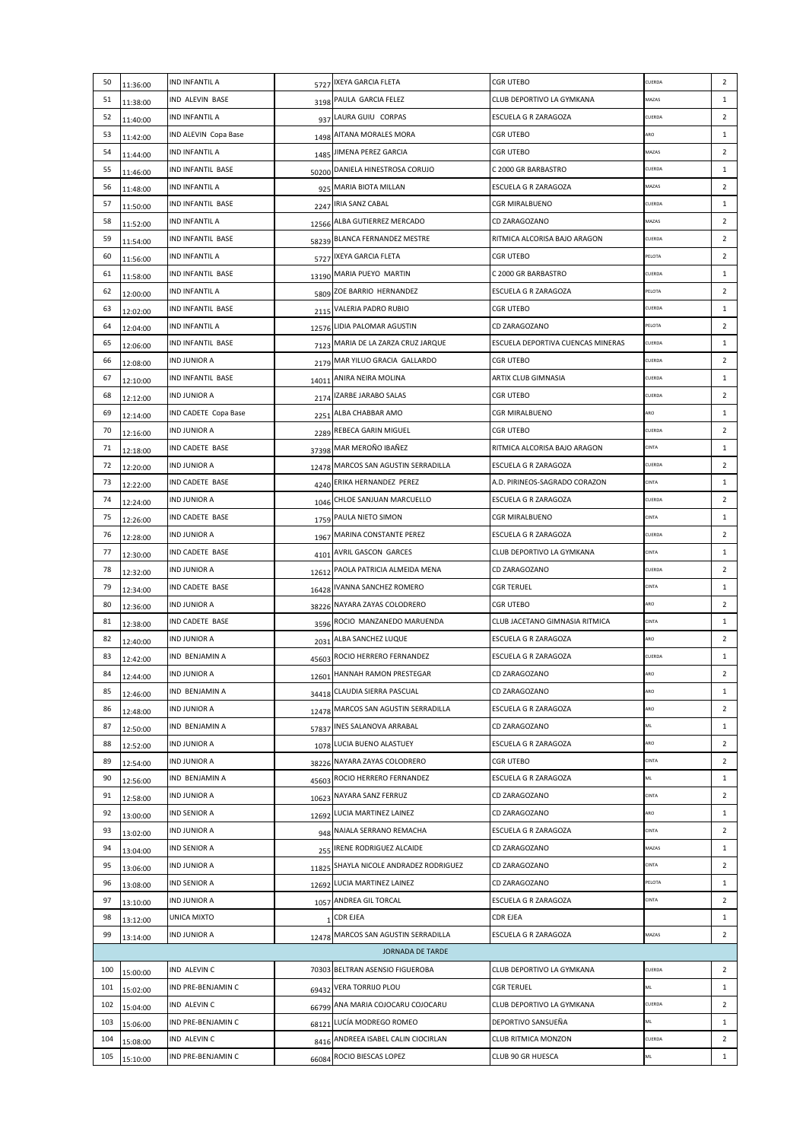| 50  | 11:36:00                                  | IND INFANTIL A                     | 5727        | IXEYA GARCIA FLETA                  | <b>CGR UTEBO</b>                               | CUERDA       | $\overline{2}$                 |  |  |  |
|-----|-------------------------------------------|------------------------------------|-------------|-------------------------------------|------------------------------------------------|--------------|--------------------------------|--|--|--|
| 51  | 11:38:00                                  | IND ALEVIN BASE                    |             | 3198 PAULA GARCIA FELEZ             | CLUB DEPORTIVO LA GYMKANA                      | MAZAS        | 1                              |  |  |  |
| 52  | 11:40:00                                  | IND INFANTIL A                     |             | 937 LAURA GUIU CORPAS               | ESCUELA G R ZARAGOZA                           | CUERDA       | $\overline{2}$                 |  |  |  |
| 53  | 11:42:00                                  | IND ALEVIN Copa Base               |             | 1498 AITANA MORALES MORA            | <b>CGR UTEBO</b>                               | ARO          | 1                              |  |  |  |
| 54  | 11:44:00                                  | IND INFANTIL A                     |             | 1485 JIMENA PEREZ GARCIA            | <b>CGR UTEBO</b>                               | MAZAS        | $\overline{2}$                 |  |  |  |
| 55  | 11:46:00                                  | IND INFANTIL BASE                  |             | 50200 DANIELA HINESTROSA CORUJO     | C 2000 GR BARBASTRO                            | CUERDA       | $\mathbf{1}$                   |  |  |  |
| 56  | 11:48:00                                  | IND INFANTIL A                     |             | 925 MARIA BIOTA MILLAN              | ESCUELA G R ZARAGOZA                           | MAZAS        | $\overline{2}$                 |  |  |  |
| 57  | 11:50:00                                  | IND INFANTIL BASE                  |             | 2247 IRIA SANZ CABAL                | CGR MIRALBUENO                                 | CUERDA       | $\mathbf{1}$                   |  |  |  |
| 58  | 11:52:00                                  | IND INFANTIL A                     |             | 12566 ALBA GUTIERREZ MERCADO        | CD ZARAGOZANO                                  | MAZAS        | $\overline{2}$                 |  |  |  |
| 59  | 11:54:00                                  | IND INFANTIL BASE                  |             | 58239 BLANCA FERNANDEZ MESTRE       | RITMICA ALCORISA BAJO ARAGON                   | CUERDA       | $\overline{2}$                 |  |  |  |
| 60  | 11:56:00                                  | IND INFANTIL A                     |             | 5727 IXEYA GARCIA FLETA             | CGR UTEBO                                      | PELOTA       | $\overline{2}$                 |  |  |  |
| 61  | 11:58:00                                  | IND INFANTIL BASE                  |             | 13190 MARIA PUEYO MARTIN            | C 2000 GR BARBASTRO                            | CUERDA       | $\mathbf{1}$                   |  |  |  |
| 62  | 12:00:00                                  | IND INFANTIL A                     |             | 5809 ZOE BARRIO HERNANDEZ           | ESCUELA G R ZARAGOZA                           | PELOTA       | $\overline{2}$                 |  |  |  |
| 63  | 12:02:00                                  | IND INFANTIL BASE                  | 2115        | VALERIA PADRO RUBIO                 | <b>CGR UTEBO</b>                               | CUERDA       | $\mathbf{1}$                   |  |  |  |
| 64  | 12:04:00                                  | IND INFANTIL A                     |             | 12576 LIDIA PALOMAR AGUSTIN         | CD ZARAGOZANO                                  | PELOTA       | $\overline{2}$                 |  |  |  |
| 65  | 12:06:00                                  | <b>IND INFANTIL BASE</b>           |             | 7123 MARIA DE LA ZARZA CRUZ JARQUE  | ESCUELA DEPORTIVA CUENCAS MINERAS              | CUERDA       | 1                              |  |  |  |
| 66  | 12:08:00                                  | IND JUNIOR A                       |             | 2179 MAR YILUO GRACIA GALLARDO      | <b>CGR UTEBO</b>                               | CUERDA       | $\overline{2}$                 |  |  |  |
| 67  | 12:10:00                                  | IND INFANTIL BASE                  | 14011       | ANIRA NEIRA MOLINA                  | ARTIX CLUB GIMNASIA                            | CUERDA       | $\mathbf{1}$                   |  |  |  |
| 68  | 12:12:00                                  | IND JUNIOR A                       | 2174        | IZARBE JARABO SALAS                 | <b>CGR UTEBO</b>                               | CUERDA       | $\overline{2}$                 |  |  |  |
| 69  | 12:14:00                                  | IND CADETE Copa Base               |             | 2251 ALBA CHABBAR AMO               | <b>CGR MIRALBUENO</b>                          | ARO          | 1                              |  |  |  |
| 70  | 12:16:00                                  | IND JUNIOR A                       |             | 2289 REBECA GARIN MIGUEL            | CGR UTEBO                                      | CUERDA       | $\overline{2}$                 |  |  |  |
| 71  | 12:18:00                                  | IND CADETE BASE                    |             | 37398 MAR MEROÑO IBAÑEZ             | RITMICA ALCORISA BAJO ARAGON                   | CINTA        | 1                              |  |  |  |
| 72  | 12:20:00                                  | IND JUNIOR A                       |             | 12478 MARCOS SAN AGUSTIN SERRADILLA | ESCUELA G R ZARAGOZA                           | CUERDA       | $\overline{2}$                 |  |  |  |
| 73  | 12:22:00                                  | IND CADETE BASE                    |             | 4240 ERIKA HERNANDEZ PEREZ          | A.D. PIRINEOS-SAGRADO CORAZON                  | CINTA        | $\mathbf{1}$                   |  |  |  |
| 74  | 12:24:00                                  | IND JUNIOR A                       |             | 1046 CHLOE SANJUAN MARCUELLO        | ESCUELA G R ZARAGOZA                           | CUERDA       | $\overline{2}$                 |  |  |  |
| 75  | 12:26:00                                  | IND CADETE BASE                    |             | 1759 PAULA NIETO SIMON              | <b>CGR MIRALBUENO</b>                          | <b>CINTA</b> | $\mathbf{1}$                   |  |  |  |
| 76  | 12:28:00                                  | IND JUNIOR A                       | 1967        | <b>MARINA CONSTANTE PEREZ</b>       | ESCUELA G R ZARAGOZA                           | CUERDA       | $\overline{2}$                 |  |  |  |
| 77  | 12:30:00                                  | IND CADETE BASE                    | 4101        | AVRIL GASCON GARCES                 | CLUB DEPORTIVO LA GYMKANA                      | <b>CINTA</b> | 1                              |  |  |  |
| 78  | 12:32:00                                  | IND JUNIOR A                       | 12612       | PAOLA PATRICIA ALMEIDA MENA         | CD ZARAGOZANO                                  | CUERDA       | $\overline{2}$                 |  |  |  |
| 79  | 12:34:00                                  | IND CADETE BASE                    |             | 16428 IVANNA SANCHEZ ROMERO         | <b>CGR TERUEL</b>                              | <b>CINTA</b> | $\mathbf{1}$                   |  |  |  |
| 80  | 12:36:00                                  | IND JUNIOR A                       |             | 38226 NAYARA ZAYAS COLODRERO        | <b>CGR UTEBO</b>                               | ARO          | $\overline{2}$                 |  |  |  |
| 81  | 12:38:00                                  | IND CADETE BASE                    |             | 3596 ROCIO MANZANEDO MARUENDA       | CLUB JACETANO GIMNASIA RITMICA                 | <b>CINTA</b> | $\mathbf{1}$                   |  |  |  |
| 82  | 12:40:00                                  | <b>IND JUNIOR A</b>                | 2031        | ALBA SANCHEZ LUQUE                  | ESCUELA G R ZARAGOZA                           | ARO          | $\overline{2}$                 |  |  |  |
| 83  | 12:42:00                                  | IND BENJAMIN A                     |             | 45603 ROCIO HERRERO FERNANDEZ       | ESCUELA G R ZARAGOZA                           | CUERDA       | 1                              |  |  |  |
| 84  | 12:44:00                                  | IND JUNIOR A                       | 12601       | HANNAH RAMON PRESTEGAR              | CD ZARAGOZANO                                  | ARO          | $\overline{2}$                 |  |  |  |
| 85  | 12:46:00                                  | IND BENJAMIN A                     | 34418       | CLAUDIA SIERRA PASCUAL              | CD ZARAGOZANO                                  | ARO          | $\mathbf{1}$                   |  |  |  |
| 86  | 12:48:00                                  | IND JUNIOR A                       |             | 12478 MARCOS SAN AGUSTIN SERRADILLA | ESCUELA G R ZARAGOZA                           | ARO          | $\overline{2}$                 |  |  |  |
| 87  | 12:50:00                                  | IND BENJAMIN A                     | 57837       | INES SALANOVA ARRABAL               | CD ZARAGOZANO                                  | ML           | $\mathbf{1}$                   |  |  |  |
| 88  | 12:52:00                                  | IND JUNIOR A                       |             | 1078 LUCIA BUENO ALASTUEY           | ESCUELA G R ZARAGOZA                           | ARO          | $\overline{2}$                 |  |  |  |
| 89  | 12:54:00                                  | IND JUNIOR A                       |             | 38226 NAYARA ZAYAS COLODRERO        | CGR UTEBO                                      | <b>CINTA</b> | $\overline{2}$                 |  |  |  |
| 90  |                                           | IND BENJAMIN A                     |             | 45603 ROCIO HERRERO FERNANDEZ       | ESCUELA G R ZARAGOZA                           | ML           | 1                              |  |  |  |
| 91  | 12:56:00                                  | IND JUNIOR A                       |             | 10623 NAYARA SANZ FERRUZ            | CD ZARAGOZANO                                  | <b>CINTA</b> | $\overline{2}$                 |  |  |  |
| 92  | 12:58:00                                  | IND SENIOR A                       |             | 12692 LUCIA MARTINEZ LAINEZ         | CD ZARAGOZANO                                  | ARO          | 1                              |  |  |  |
| 93  | 13:00:00<br>13:02:00                      | IND JUNIOR A                       |             | 948 NAIALA SERRANO REMACHA          | ESCUELA G R ZARAGOZA                           | <b>CINTA</b> | $\overline{2}$                 |  |  |  |
| 94  |                                           | IND SENIOR A                       |             | IRENE RODRIGUEZ ALCAIDE             | CD ZARAGOZANO                                  | MAZAS        | $\mathbf{1}$                   |  |  |  |
| 95  | 13:04:00                                  | IND JUNIOR A                       | <b>2551</b> | SHAYLA NICOLE ANDRADEZ RODRIGUEZ    | CD ZARAGOZANO                                  | <b>CINTA</b> | $\overline{2}$                 |  |  |  |
| 96  | 13:06:00                                  | IND SENIOR A                       | 11825       | LUCIA MARTINEZ LAINEZ               | CD ZARAGOZANO                                  | PELOTA       | $\mathbf{1}$                   |  |  |  |
| 97  | 13:08:00                                  | IND JUNIOR A                       | 12692       | 1057 ANDREA GIL TORCAL              | ESCUELA G R ZARAGOZA                           | <b>CINTA</b> | $\overline{2}$                 |  |  |  |
| 98  | 13:10:00                                  | UNICA MIXTO                        |             | <b>CDR EJEA</b>                     | CDR EJEA                                       |              | 1                              |  |  |  |
| 99  | 13:12:00                                  | IND JUNIOR A                       |             | 12478 MARCOS SAN AGUSTIN SERRADILLA | ESCUELA G R ZARAGOZA                           | MAZAS        | $\overline{2}$                 |  |  |  |
|     | 13:14:00                                  |                                    |             | <b>JORNADA DE TARDE</b>             |                                                |              |                                |  |  |  |
| 100 | 70303 BELTRAN ASENSIO FIGUEROBA<br>CUERDA |                                    |             |                                     |                                                |              |                                |  |  |  |
| 101 | 15:00:00                                  | IND ALEVIN C<br>IND PRE-BENJAMIN C |             | VERA TORRIJO PLOU                   | CLUB DEPORTIVO LA GYMKANA<br><b>CGR TERUEL</b> | ML           | $\overline{2}$<br>$\mathbf{1}$ |  |  |  |
|     | 15:02:00                                  |                                    | 69432       | 66799 ANA MARIA COJOCARU COJOCARU   | CLUB DEPORTIVO LA GYMKANA                      | CUERDA       | $\overline{2}$                 |  |  |  |
| 102 | 15:04:00                                  | IND ALEVIN C                       |             |                                     |                                                | ML           |                                |  |  |  |
| 103 | 15:06:00                                  | IND PRE-BENJAMIN C                 | 68121       | LUCÍA MODREGO ROMEO                 | DEPORTIVO SANSUEÑA                             |              | $\mathbf{1}$                   |  |  |  |
| 104 | 15:08:00                                  | IND ALEVIN C                       | 8416        | ANDREEA ISABEL CALIN CIOCIRLAN      | CLUB RITMICA MONZON                            | CUERDA       | $\overline{2}$                 |  |  |  |
| 105 | 15:10:00                                  | IND PRE-BENJAMIN C                 |             | 66084 ROCIO BIESCAS LOPEZ           | CLUB 90 GR HUESCA                              | ML           | $\mathbf{1}$                   |  |  |  |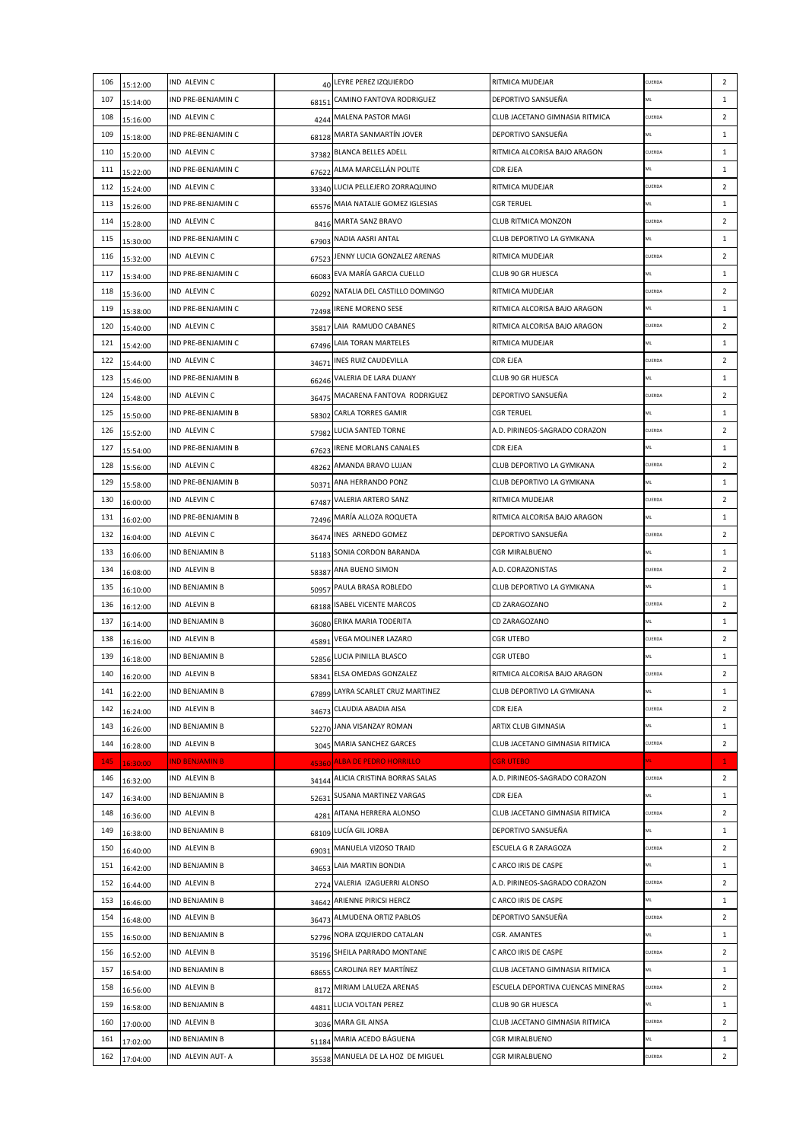| 106 | 15:12:00 | IND ALEVIN C                          | 40    | LEYRE PEREZ IZQUIERDO              | RITMICA MUDEJAR                                  | CUERDA | $\overline{2}$ |
|-----|----------|---------------------------------------|-------|------------------------------------|--------------------------------------------------|--------|----------------|
| 107 | 15:14:00 | IND PRE-BENJAMIN C                    |       | 68151 CAMINO FANTOVA RODRIGUEZ     | DEPORTIVO SANSUEÑA                               | ML     | $\mathbf{1}$   |
| 108 | 15:16:00 | IND ALEVIN C                          |       | 4244 MALENA PASTOR MAGI            | CLUB JACETANO GIMNASIA RITMICA                   | CUERDA | $\overline{2}$ |
| 109 | 15:18:00 | IND PRE-BENJAMIN C                    |       | 68128 MARTA SANMARTÍN JOVER        | DEPORTIVO SANSUEÑA                               | ML     | $\mathbf{1}$   |
| 110 | 15:20:00 | IND ALEVIN C                          |       | 37382 BLANCA BELLES ADELL          | RITMICA ALCORISA BAJO ARAGON                     | CUERDA | $\mathbf{1}$   |
| 111 | 15:22:00 | IND PRE-BENJAMIN C                    |       | 67622 ALMA MARCELLÁN POLITE        | <b>CDR EJEA</b>                                  | ML     | $\mathbf{1}$   |
| 112 | 15:24:00 | IND ALEVIN C                          |       | 33340 LUCIA PELLEJERO ZORRAQUINO   | RITMICA MUDEJAR                                  | CUERDA | $\overline{2}$ |
| 113 | 15:26:00 | IND PRE-BENJAMIN C                    | 65576 | MAIA NATALIE GOMEZ IGLESIAS        | <b>CGR TERUEL</b>                                | ML     | $\mathbf{1}$   |
| 114 | 15:28:00 | IND ALEVIN C                          |       | 8416 MARTA SANZ BRAVO              | CLUB RITMICA MONZON                              | CUERDA | $\overline{2}$ |
| 115 | 15:30:00 | IND PRE-BENJAMIN C                    | 67903 | NADIA AASRI ANTAL                  | CLUB DEPORTIVO LA GYMKANA                        | ML     | $\mathbf{1}$   |
| 116 | 15:32:00 | IND ALEVIN C                          |       | 67523 JENNY LUCIA GONZALEZ ARENAS  | RITMICA MUDEJAR                                  | CUERDA | $\overline{2}$ |
| 117 | 15:34:00 | <b>IND PRE-BENJAMIN C</b>             |       | 66083 EVA MARÍA GARCIA CUELLO      | <b>CLUB 90 GR HUESCA</b>                         | ML     | $\mathbf{1}$   |
| 118 | 15:36:00 | IND ALEVIN C                          |       | 60292 NATALIA DEL CASTILLO DOMINGO | RITMICA MUDEJAR                                  | CUERDA | $\overline{2}$ |
| 119 | 15:38:00 | IND PRE-BENJAMIN C                    |       | 72498 IRENE MORENO SESE            | RITMICA ALCORISA BAJO ARAGON                     | ML     | $\mathbf{1}$   |
| 120 | 15:40:00 | IND ALEVIN C                          | 35817 | LAIA RAMUDO CABANES                | RITMICA ALCORISA BAJO ARAGON                     | CUERDA | $\overline{2}$ |
| 121 | 15:42:00 | IND PRE-BENJAMIN C                    |       | 67496 LAIA TORAN MARTELES          | RITMICA MUDEJAR                                  | ML     | $\mathbf{1}$   |
| 122 | 15:44:00 | IND ALEVIN C                          |       | 34671 INES RUIZ CAUDEVILLA         | <b>CDR EJEA</b>                                  | CUERDA | $\overline{2}$ |
| 123 | 15:46:00 | IND PRE-BENJAMIN B                    | 66246 | VALERIA DE LARA DUANY              | CLUB 90 GR HUESCA                                | ML     | $\mathbf{1}$   |
| 124 | 15:48:00 | IND ALEVIN C                          | 36475 | MACARENA FANTOVA RODRIGUEZ         | DEPORTIVO SANSUEÑA                               | CUERDA | $\overline{2}$ |
| 125 | 15:50:00 | IND PRE-BENJAMIN B                    | 58302 | <b>CARLA TORRES GAMIR</b>          | <b>CGR TERUEL</b>                                | ML     | $\mathbf{1}$   |
| 126 | 15:52:00 | IND ALEVIN C                          |       | 57982 LUCIA SANTED TORNE           | A.D. PIRINEOS-SAGRADO CORAZON                    | CUERDA | $\overline{2}$ |
| 127 | 15:54:00 | IND PRE-BENJAMIN B                    |       | 67623 IRENE MORLANS CANALES        | <b>CDR EJEA</b>                                  | ML     | $\mathbf{1}$   |
| 128 | 15:56:00 | IND ALEVIN C                          |       | 48262 AMANDA BRAVO LUJAN           | CLUB DEPORTIVO LA GYMKANA                        | CUERDA | $\overline{2}$ |
| 129 | 15:58:00 | IND PRE-BENJAMIN B                    |       | 50371 ANA HERRANDO PONZ            | CLUB DEPORTIVO LA GYMKANA                        | ML     | $\mathbf{1}$   |
| 130 | 16:00:00 | IND ALEVIN C                          |       | 67487 VALERIA ARTERO SANZ          | RITMICA MUDEJAR                                  | CUERDA | $\overline{2}$ |
| 131 | 16:02:00 | IND PRE-BENJAMIN B                    |       | 72496 MARÍA ALLOZA ROQUETA         | RITMICA ALCORISA BAJO ARAGON                     | ML     | $\mathbf{1}$   |
| 132 | 16:04:00 | IND ALEVIN C                          |       | 36474 INES ARNEDO GOMEZ            | DEPORTIVO SANSUEÑA                               | CUERDA | $\overline{2}$ |
| 133 | 16:06:00 | IND BENJAMIN B                        | 51183 | SONIA CORDON BARANDA               | <b>CGR MIRALBUENO</b>                            | ML     | $\mathbf{1}$   |
| 134 | 16:08:00 | IND ALEVIN B                          |       | 58387 ANA BUENO SIMON              | A.D. CORAZONISTAS                                | CUERDA | $\overline{2}$ |
| 135 | 16:10:00 | IND BENJAMIN B                        |       | 50957 PAULA BRASA ROBLEDO          | CLUB DEPORTIVO LA GYMKANA                        | ML     | $\mathbf{1}$   |
| 136 | 16:12:00 | IND ALEVIN B                          |       | 68188 ISABEL VICENTE MARCOS        | CD ZARAGOZANO                                    | CUERDA | $\overline{2}$ |
| 137 |          | IND BENJAMIN B                        |       | 36080 ERIKA MARIA TODERITA         | CD ZARAGOZANO                                    | ML     | $\mathbf{1}$   |
| 138 | 16:14:00 | <b>IND ALEVIN B</b>                   | 45891 | <b>VEGA MOLINER LAZARO</b>         | <b>CGR UTEBO</b>                                 | CUERDA | $\overline{2}$ |
| 139 | 16:16:00 | IND BENJAMIN B                        |       | 52856 LUCIA PINILLA BLASCO         | <b>CGR UTEBO</b>                                 | ML     | $\mathbf{1}$   |
| 140 | 16:18:00 | IND ALEVIN B                          |       | 58341 ELSA OMEDAS GONZALEZ         | RITMICA ALCORISA BAJO ARAGON                     | CUERDA | $\overline{2}$ |
| 141 | 16:20:00 | IND BENJAMIN B                        |       | LAYRA SCARLET CRUZ MARTINEZ        | CLUB DEPORTIVO LA GYMKANA                        | ML     | $\mathbf{1}$   |
| 142 | 16:22:00 | IND ALEVIN B                          | 67899 | 34673 CLAUDIA ABADIA AISA          | CDR EJEA                                         | CUERDA | $\overline{2}$ |
| 143 | 16:24:00 | IND BENJAMIN B                        |       | JANA VISANZAY ROMAN                | ARTIX CLUB GIMNASIA                              | ML     | $\mathbf{1}$   |
| 144 | 16:26:00 | IND ALEVIN B                          | 52270 | 3045 MARIA SANCHEZ GARCES          | CLUB JACETANO GIMNASIA RITMICA                   | CUERDA | $\overline{2}$ |
| 145 | 16:28:00 | <u>IND BENJAMIN B</u>                 |       | 45360 ALBA DE PEDRO HORRILLO       | <b>CGR UTEBO</b>                                 | ML     | $\mathbf{1}$   |
|     | 16:30:00 |                                       |       |                                    |                                                  | CUERDA |                |
| 146 | 16:32:00 | IND ALEVIN B<br><b>IND BENJAMIN B</b> |       | 34144 ALICIA CRISTINA BORRAS SALAS | A.D. PIRINEOS-SAGRADO CORAZON<br><b>CDR EJEA</b> | ML     | $\overline{2}$ |
| 147 | 16:34:00 |                                       |       | 52631 SUSANA MARTINEZ VARGAS       |                                                  |        | $\mathbf{1}$   |
| 148 | 16:36:00 | IND ALEVIN B                          |       | 4281 AITANA HERRERA ALONSO         | CLUB JACETANO GIMNASIA RITMICA                   | CUERDA | $\overline{2}$ |
| 149 | 16:38:00 | IND BENJAMIN B                        |       | 68109 LUCÍA GIL JORBA              | DEPORTIVO SANSUEÑA                               | ML     | $\mathbf{1}$   |
| 150 | 16:40:00 | IND ALEVIN B                          |       | 69031 MANUELA VIZOSO TRAID         | <b>ESCUELA G R ZARAGOZA</b>                      | CUERDA | $\overline{2}$ |
| 151 | 16:42:00 | IND BENJAMIN B                        | 34653 | LAIA MARTIN BONDIA                 | C ARCO IRIS DE CASPE                             | ML     | $\mathbf{1}$   |
| 152 | 16:44:00 | IND ALEVIN B                          | 2724  | VALERIA IZAGUERRI ALONSO           | A.D. PIRINEOS-SAGRADO CORAZON                    | CUERDA | $\overline{2}$ |
| 153 | 16:46:00 | IND BENJAMIN B                        |       | 34642 ARIENNE PIRICSI HERCZ        | C ARCO IRIS DE CASPE                             | ML     | $\mathbf{1}$   |
| 154 | 16:48:00 | IND ALEVIN B                          |       | 36473 ALMUDENA ORTIZ PABLOS        | DEPORTIVO SANSUEÑA                               | CUERDA | $\overline{2}$ |
| 155 | 16:50:00 | IND BENJAMIN B                        |       | 52796 NORA IZQUIERDO CATALAN       | CGR. AMANTES                                     | ML     | $\mathbf{1}$   |
| 156 | 16:52:00 | IND ALEVIN B                          |       | 35196 SHEILA PARRADO MONTANE       | C ARCO IRIS DE CASPE                             | CUERDA | $\overline{2}$ |
| 157 | 16:54:00 | IND BENJAMIN B                        |       | 68655 CAROLINA REY MARTÍNEZ        | CLUB JACETANO GIMNASIA RITMICA                   | ML     | $\mathbf{1}$   |
| 158 | 16:56:00 | IND ALEVIN B                          |       | 8172 MIRIAM LALUEZA ARENAS         | ESCUELA DEPORTIVA CUENCAS MINERAS                | CUERDA | $\overline{2}$ |
| 159 | 16:58:00 | IND BENJAMIN B                        | 44811 | LUCIA VOLTAN PEREZ                 | CLUB 90 GR HUESCA                                | ML     | $\mathbf{1}$   |
| 160 | 17:00:00 | IND ALEVIN B                          |       | 3036 MARA GIL AINSA                | CLUB JACETANO GIMNASIA RITMICA                   | CUERDA | $\overline{2}$ |
| 161 | 17:02:00 | IND BENJAMIN B                        | 51184 | MARIA ACEDO BÁGUENA                | <b>CGR MIRALBUENO</b>                            | ML     | $\mathbf{1}$   |
| 162 | 17:04:00 | IND ALEVIN AUT- A                     |       | 35538 MANUELA DE LA HOZ DE MIGUEL  | <b>CGR MIRALBUENO</b>                            | CUERDA | $\overline{2}$ |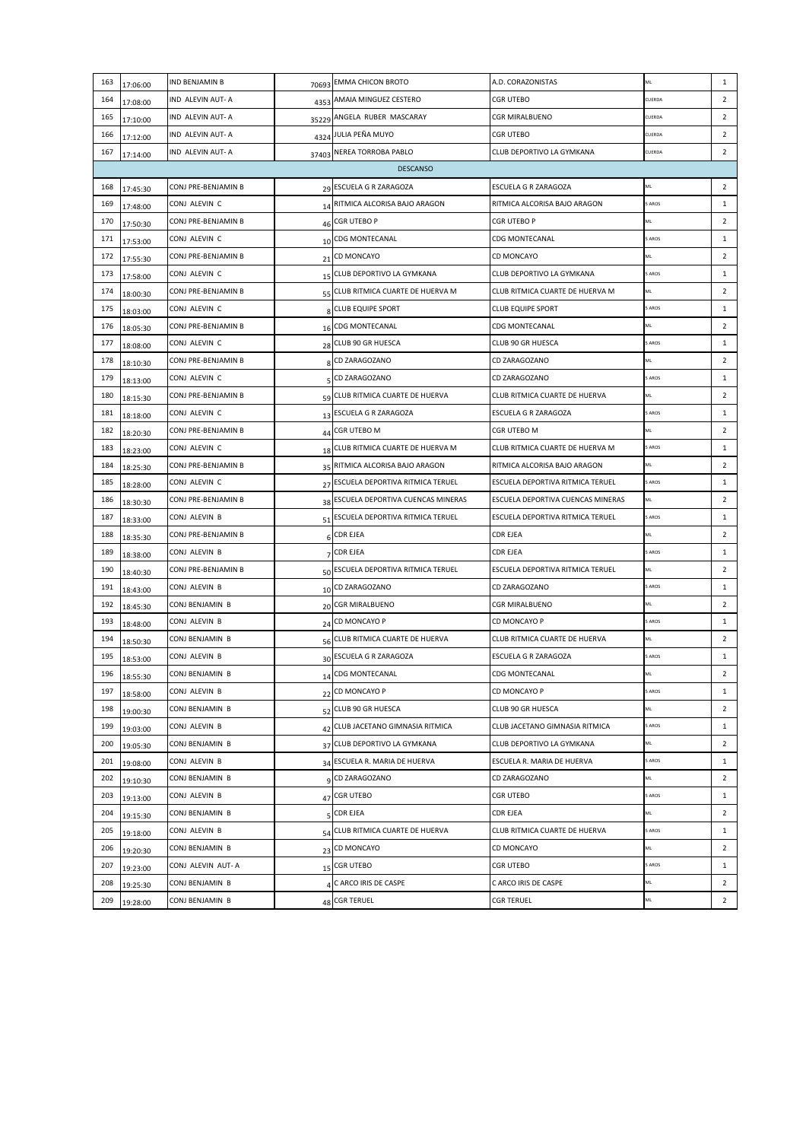| 163<br>164 |          |                     |       |                                      |                                   |        |                |
|------------|----------|---------------------|-------|--------------------------------------|-----------------------------------|--------|----------------|
|            | 17:06:00 | IND BENJAMIN B      | 70693 | <b>EMMA CHICON BROTO</b>             | A.D. CORAZONISTAS                 | ML     | $\mathbf{1}$   |
|            | 17:08:00 | IND ALEVIN AUT- A   |       | 4353 AMAIA MINGUEZ CESTERO           | CGR UTEBO                         | CUERDA | $\overline{2}$ |
| 165        | 17:10:00 | IND ALEVIN AUT- A   |       | 35229 ANGELA RUBER MASCARAY          | CGR MIRALBUENO                    | CUERDA | $\overline{2}$ |
| 166        | 17:12:00 | IND ALEVIN AUT- A   |       | 4324 JULIA PEÑA MUYO                 | <b>CGR UTEBO</b>                  | CUERDA | $\overline{2}$ |
| 167        | 17:14:00 | IND ALEVIN AUT- A   |       | 37403 NEREA TORROBA PABLO            | CLUB DEPORTIVO LA GYMKANA         | CUERDA | $\overline{2}$ |
|            |          |                     |       | <b>DESCANSO</b>                      |                                   |        |                |
| 168        | 17:45:30 | CONJ PRE-BENJAMIN B |       | 29 ESCUELA G R ZARAGOZA              | <b>ESCUELA G R ZARAGOZA</b>       | ML     | $\overline{2}$ |
| 169        | 17:48:00 | CONJ ALEVIN C       |       | 14 RITMICA ALCORISA BAJO ARAGON      | RITMICA ALCORISA BAJO ARAGON      | 5 AROS | $\mathbf{1}$   |
| 170        | 17:50:30 | CONJ PRE-BENJAMIN B | 46    | CGR UTEBO P                          | CGR UTEBO P                       | ML     | $\overline{2}$ |
| 171        | 17:53:00 | CONJ ALEVIN C       | 10    | CDG MONTECANAL                       | <b>CDG MONTECANAL</b>             | 5 AROS | $\mathbf{1}$   |
| 172        | 17:55:30 | CONJ PRE-BENJAMIN B | 21    | <b>CD MONCAYO</b>                    | CD MONCAYO                        | ML     | $\overline{2}$ |
| 173        | 17:58:00 | CONJ ALEVIN C       |       | 15 CLUB DEPORTIVO LA GYMKANA         | CLUB DEPORTIVO LA GYMKANA         | 5 AROS | $\mathbf{1}$   |
| 174        | 18:00:30 | CONJ PRE-BENJAMIN B |       | 55 CLUB RITMICA CUARTE DE HUERVA M   | CLUB RITMICA CUARTE DE HUERVA M   | ML     | $\overline{2}$ |
| 175        | 18:03:00 | CONJ ALEVIN C       |       | 8 CLUB EQUIPE SPORT                  | <b>CLUB EQUIPE SPORT</b>          | 5 AROS | $\mathbf{1}$   |
| 176        | 18:05:30 | CONJ PRE-BENJAMIN B |       | 16 CDG MONTECANAL                    | CDG MONTECANAL                    | ML     | $\overline{2}$ |
| 177        | 18:08:00 | CONJ ALEVIN C       |       | 28 CLUB 90 GR HUESCA                 | CLUB 90 GR HUESCA                 | 5 AROS | $\mathbf{1}$   |
| 178        | 18:10:30 | CONJ PRE-BENJAMIN B |       | CD ZARAGOZANO                        | CD ZARAGOZANO                     | ML     | $\overline{2}$ |
| 179        | 18:13:00 | CONJ ALEVIN C       |       | CD ZARAGOZANO                        | CD ZARAGOZANO                     | 5 AROS | $\mathbf{1}$   |
| 180        | 18:15:30 | CONJ PRE-BENJAMIN B | 59    | CLUB RITMICA CUARTE DE HUERVA        | CLUB RITMICA CUARTE DE HUERVA     | ML     | $\overline{2}$ |
| 181        | 18:18:00 | CONJ ALEVIN C       |       | 13 ESCUELA G R ZARAGOZA              | ESCUELA G R ZARAGOZA              | 5 AROS | $\mathbf{1}$   |
| 182        | 18:20:30 | CONJ PRE-BENJAMIN B |       | 44 CGR UTEBO M                       | CGR UTEBO M                       | ML     | $\overline{2}$ |
| 183        | 18:23:00 | CONJ ALEVIN C       |       | 18 CLUB RITMICA CUARTE DE HUERVA M   | CLUB RITMICA CUARTE DE HUERVA M   | 5 AROS | $\mathbf{1}$   |
| 184        | 18:25:30 | CONJ PRE-BENJAMIN B |       | 35 RITMICA ALCORISA BAJO ARAGON      | RITMICA ALCORISA BAJO ARAGON      | ML     | $\overline{2}$ |
| 185        | 18:28:00 | CONJ ALEVIN C       |       | 27 ESCUELA DEPORTIVA RITMICA TERUEL  | ESCUELA DEPORTIVA RITMICA TERUEL  | 5 AROS | $\mathbf{1}$   |
| 186        | 18:30:30 | CONJ PRE-BENJAMIN B |       | 38 ESCUELA DEPORTIVA CUENCAS MINERAS | ESCUELA DEPORTIVA CUENCAS MINERAS | ML     | $\overline{2}$ |
| 187        | 18:33:00 | CONJ ALEVIN B       |       | 51 ESCUELA DEPORTIVA RITMICA TERUEL  | ESCUELA DEPORTIVA RITMICA TERUEL  | 5 AROS | $\mathbf{1}$   |
| 188        | 18:35:30 | CONJ PRE-BENJAMIN B |       | <b>CDR EJEA</b>                      | <b>CDR EJEA</b>                   | ML     | $\overline{2}$ |
| 189        | 18:38:00 | CONJ ALEVIN B       |       | <b>CDR EJEA</b>                      | CDR EJEA                          | 5 AROS | $\mathbf{1}$   |
| 190        | 18:40:30 | CONJ PRE-BENJAMIN B |       | 50 ESCUELA DEPORTIVA RITMICA TERUEL  | ESCUELA DEPORTIVA RITMICA TERUEL  | ML     | $\overline{2}$ |
| 191        | 18:43:00 | CONJ ALEVIN B       |       | 10 CD ZARAGOZANO                     | CD ZARAGOZANO                     | 5 AROS | $\mathbf{1}$   |
| 192        | 18:45:30 | CONJ BENJAMIN B     |       | 20 CGR MIRALBUENO                    | CGR MIRALBUENO                    | ML     | $\overline{2}$ |
| 193        | 18:48:00 | CONJ ALEVIN B       |       | 24 CD MONCAYO P                      | CD MONCAYO P                      | 5 AROS | $\mathbf{1}$   |
| 194        | 18:50:30 | CONJ BENJAMIN B     |       | 56 CLUB RITMICA CUARTE DE HUERVA     | CLUB RITMICA CUARTE DE HUERVA     | ML     | $\overline{2}$ |
| 195        | 18:53:00 | CONJ ALEVIN B       |       | 30 ESCUELA G R ZARAGOZA              | ESCUELA G R ZARAGOZA              | 5 AROS | $\mathbf{1}$   |
| 196        | 18:55:30 | CONJ BENJAMIN B     |       | 14 CDG MONTECANAL                    | <b>CDG MONTECANAL</b>             | ML     | $\overline{2}$ |
| 197        | 18:58:00 | CONJ ALEVIN B       |       | 22 CD MONCAYO P                      | CD MONCAYO P                      | 5 AROS | $\mathbf{1}$   |
| 198        | 19:00:30 | CONJ BENJAMIN B     |       | 52 CLUB 90 GR HUESCA                 | CLUB 90 GR HUESCA                 | ML     | $\overline{2}$ |
| 199        | 19:03:00 | CONJ ALEVIN B       |       | 42 CLUB JACETANO GIMNASIA RITMICA    | CLUB JACETANO GIMNASIA RITMICA    | 5 AROS | $\mathbf{1}$   |
| 200        | 19:05:30 | CONJ BENJAMIN B     |       | 37 CLUB DEPORTIVO LA GYMKANA         | CLUB DEPORTIVO LA GYMKANA         | ML     | $\overline{2}$ |
| 201        | 19:08:00 | CONJ ALEVIN B       |       | 34 ESCUELA R. MARIA DE HUERVA        | ESCUELA R. MARIA DE HUERVA        | 5 AROS | $\mathbf{1}$   |
| 202        | 19:10:30 | CONJ BENJAMIN B     |       | q CD ZARAGOZANO                      | CD ZARAGOZANO                     | ML     | $\overline{2}$ |
| 203        | 19:13:00 | CONJ ALEVIN B       |       | 47 CGR UTEBO                         | <b>CGR UTEBO</b>                  | 5 AROS | $\mathbf{1}$   |
| 204        | 19:15:30 | CONJ BENJAMIN B     |       | <b>CDR EJEA</b>                      | <b>CDR EJEA</b>                   | ML     | $\overline{2}$ |
|            | 19:18:00 | CONJ ALEVIN B       |       | 54 CLUB RITMICA CUARTE DE HUERVA     | CLUB RITMICA CUARTE DE HUERVA     | 5 AROS | $\mathbf{1}$   |
| 205        | 19:20:30 | CONJ BENJAMIN B     |       | 23 CD MONCAYO                        | CD MONCAYO                        | ML     | $\overline{2}$ |
| 206        |          |                     |       |                                      |                                   |        |                |
| 207        | 19:23:00 | CONJ ALEVIN AUT-A   |       | 15 CGR UTEBO                         | CGR UTEBO                         | 5 AROS | $\mathbf{1}$   |
| 208        | 19:25:30 | CONJ BENJAMIN B     |       | C ARCO IRIS DE CASPE                 | C ARCO IRIS DE CASPE              | ML     | $\overline{2}$ |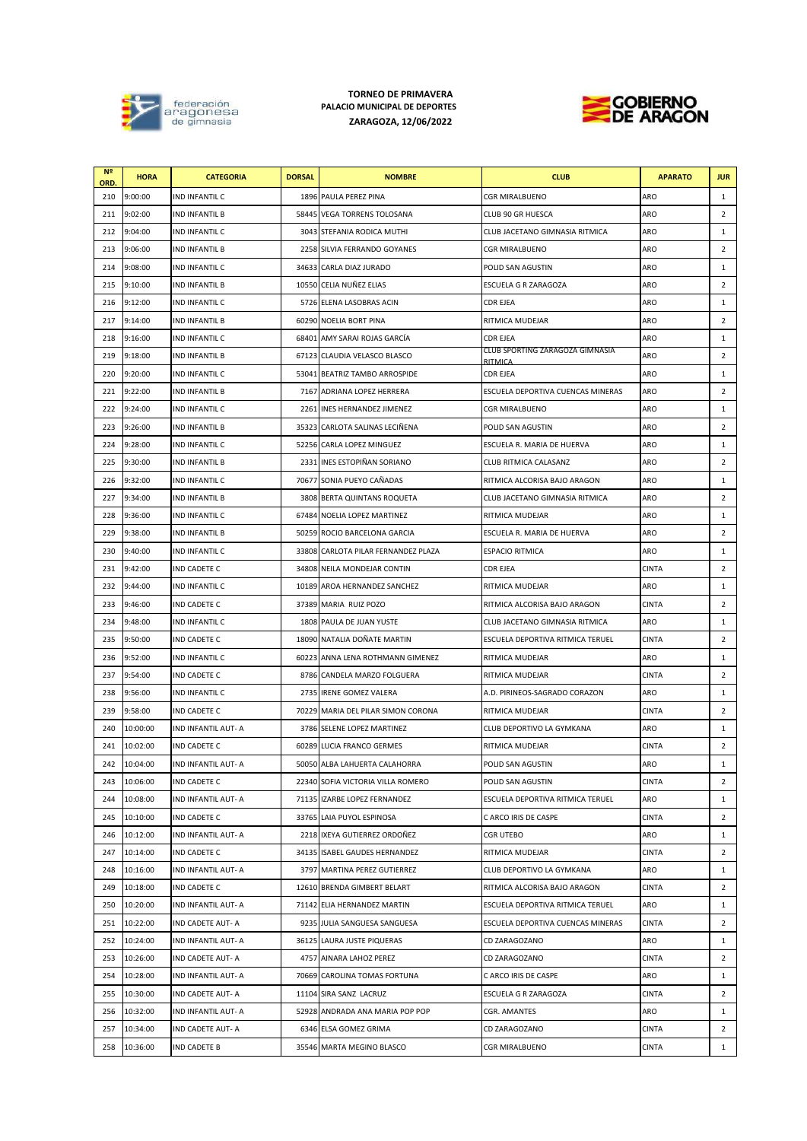

## **TORNEO DE PRIMAVERA PALACIO MUNICIPAL DE DEPORTES ZARAGOZA, 12/06/2022**



| N <sub>5</sub><br>ORD. | <b>HORA</b> | <b>CATEGORIA</b>      | <b>DORSAL</b> | <b>NOMBRE</b>                       | <b>CLUB</b>                                | <b>APARATO</b> | <b>JUR</b>     |
|------------------------|-------------|-----------------------|---------------|-------------------------------------|--------------------------------------------|----------------|----------------|
| 210                    | 9:00:00     | IND INFANTIL C        |               | 1896 PAULA PEREZ PINA               | <b>CGR MIRALBUENO</b>                      | ARO            | 1              |
| 211                    | 9:02:00     | IND INFANTIL B        |               | 58445 VEGA TORRENS TOLOSANA         | CLUB 90 GR HUESCA                          | ARO            | $\overline{2}$ |
| 212                    | 9:04:00     | IND INFANTIL C        |               | 3043 STEFANIA RODICA MUTHI          | CLUB JACETANO GIMNASIA RITMICA             | ARO            | 1              |
| 213                    | 9:06:00     | <b>IND INFANTIL B</b> |               | 2258 SILVIA FERRANDO GOYANES        | <b>CGR MIRALBUENO</b>                      | ARO            | $\overline{2}$ |
| 214                    | 9:08:00     | IND INFANTIL C        | 34633         | CARLA DIAZ JURADO                   | POLID SAN AGUSTIN                          | ARO            | 1              |
| 215                    | 9:10:00     | IND INFANTIL B        |               | 10550 CELIA NUÑEZ ELIAS             | ESCUELA G R ZARAGOZA                       | ARO            | $\overline{2}$ |
| 216                    | 9:12:00     | IND INFANTIL C        |               | 5726 ELENA LASOBRAS ACIN            | <b>CDR EJEA</b>                            | ARO            | 1              |
| 217                    | 9:14:00     | IND INFANTIL B        |               | 60290 NOELIA BORT PINA              | RITMICA MUDEJAR                            | ARO            | $\overline{2}$ |
| 218                    | 9:16:00     | IND INFANTIL C        |               | 68401 AMY SARAI ROJAS GARCÍA        | CDR EJEA                                   | ARO            | 1              |
| 219                    | 9:18:00     | IND INFANTIL B        |               | 67123 CLAUDIA VELASCO BLASCO        | CLUB SPORTING ZARAGOZA GIMNASIA<br>RITMICA | ARO            | $\overline{2}$ |
| 220                    | 9:20:00     | IND INFANTIL C        | 53041         | <b>BEATRIZ TAMBO ARROSPIDE</b>      | CDR EJEA                                   | ARO            | 1              |
| 221                    | 9:22:00     | <b>IND INFANTIL B</b> |               | 7167 ADRIANA LOPEZ HERRERA          | ESCUELA DEPORTIVA CUENCAS MINERAS          | ARO            | $\overline{2}$ |
| 222                    | 9:24:00     | IND INFANTIL C        |               | 2261 INES HERNANDEZ JIMENEZ         | CGR MIRALBUENO                             | ARO            | 1              |
| 223                    | 9:26:00     | IND INFANTIL B        |               | 35323 CARLOTA SALINAS LECIÑENA      | POLID SAN AGUSTIN                          | ARO            | $\overline{2}$ |
| 224                    | 9:28:00     | IND INFANTIL C        |               | 52256 CARLA LOPEZ MINGUEZ           | ESCUELA R. MARIA DE HUERVA                 | ARO            | 1              |
| 225                    | 9:30:00     | IND INFANTIL B        | 2331          | INES ESTOPIÑAN SORIANO              | CLUB RITMICA CALASANZ                      | ARO            | $\overline{2}$ |
| 226                    | 9:32:00     | IND INFANTIL C        |               | 70677 SONIA PUEYO CAÑADAS           | RITMICA ALCORISA BAJO ARAGON               | ARO            | 1              |
| 227                    | 9:34:00     | <b>IND INFANTIL B</b> |               | 3808 BERTA QUINTANS ROQUETA         | CLUB JACETANO GIMNASIA RITMICA             | ARO            | 2              |
| 228                    | 9:36:00     | IND INFANTIL C        |               | 67484 NOELIA LOPEZ MARTINEZ         | RITMICA MUDEJAR                            | ARO            | 1              |
| 229                    | 9:38:00     | IND INFANTIL B        |               | 50259 ROCIO BARCELONA GARCIA        | ESCUELA R. MARIA DE HUERVA                 | ARO            | $\overline{2}$ |
| 230                    | 9:40:00     | IND INFANTIL C        |               | 33808 CARLOTA PILAR FERNANDEZ PLAZA | <b>ESPACIO RITMICA</b>                     | ARO            | 1              |
| 231                    | 9:42:00     | IND CADETE C          |               | 34808 NEILA MONDEJAR CONTIN         | CDR EJEA                                   | <b>CINTA</b>   | $\overline{2}$ |
| 232                    | 9:44:00     | IND INFANTIL C        |               | 10189 AROA HERNANDEZ SANCHEZ        | RITMICA MUDEJAR                            | ARO            | 1              |
| 233                    | 9:46:00     | IND CADETE C          |               | 37389 MARIA RUIZ POZO               | RITMICA ALCORISA BAJO ARAGON               | <b>CINTA</b>   | $\overline{2}$ |
| 234                    | 9:48:00     | IND INFANTIL C        |               | 1808 PAULA DE JUAN YUSTE            | CLUB JACETANO GIMNASIA RITMICA             | ARO            | 1              |
| 235                    | 9:50:00     | IND CADETE C          |               | 18090 NATALIA DOÑATE MARTIN         | ESCUELA DEPORTIVA RITMICA TERUEL           | <b>CINTA</b>   | $\overline{2}$ |
| 236                    | 9:52:00     | IND INFANTIL C        | 60223         | ANNA LENA ROTHMANN GIMENEZ          | RITMICA MUDEJAR                            | ARO            | 1              |
| 237                    | 9:54:00     | IND CADETE C          |               | 8786 CANDELA MARZO FOLGUERA         | RITMICA MUDEJAR                            | <b>CINTA</b>   | $\overline{2}$ |
| 238                    | 9:56:00     | IND INFANTIL C        |               | 2735 IRENE GOMEZ VALERA             | A.D. PIRINEOS-SAGRADO CORAZON              | ARO            | 1              |
| 239                    | 9:58:00     | IND CADETE C          |               | 70229 MARIA DEL PILAR SIMON CORONA  | RITMICA MUDEJAR                            | <b>CINTA</b>   | $\overline{2}$ |
| 240                    | 10:00:00    | IND INFANTIL AUT- A   |               | 3786 SELENE LOPEZ MARTINEZ          | CLUB DEPORTIVO LA GYMKANA                  | ARO            | 1              |
| 241                    | 10:02:00    | IND CADETE C          |               | 60289 LUCIA FRANCO GERMES           | RITMICA MUDEJAR                            | <b>CINTA</b>   | $\overline{2}$ |
| 242                    | 10:04:00    | IND INFANTIL AUT- A   |               | 50050 ALBA LAHUERTA CALAHORRA       | POLID SAN AGUSTIN                          | ARO            | $\mathbf{1}$   |
| 243                    | 10:06:00    | IND CADETE C          |               | 22340 SOFIA VICTORIA VILLA ROMERO   | POLID SAN AGUSTIN                          | <b>CINTA</b>   | $\overline{2}$ |
| 244                    | 10:08:00    | IND INFANTIL AUT- A   |               | 71135 IZARBE LOPEZ FERNANDEZ        | ESCUELA DEPORTIVA RITMICA TERUEL           | ARO            | $\mathbf{1}$   |
| 245                    | 10:10:00    | IND CADETE C          |               | 33765 LAIA PUYOL ESPINOSA           | C ARCO IRIS DE CASPE                       | <b>CINTA</b>   | $\overline{2}$ |
| 246                    | 10:12:00    | IND INFANTIL AUT- A   |               | 2218 IXEYA GUTIERREZ ORDOÑEZ        | CGR UTEBO                                  | ARO            | 1              |
| 247                    | 10:14:00    | IND CADETE C          |               | 34135 ISABEL GAUDES HERNANDEZ       | RITMICA MUDEJAR                            | CINTA          | $\overline{2}$ |
| 248                    | 10:16:00    | IND INFANTIL AUT- A   |               | 3797 MARTINA PEREZ GUTIERREZ        | CLUB DEPORTIVO LA GYMKANA                  | ARO            | 1              |
| 249                    | 10:18:00    | IND CADETE C          |               | 12610 BRENDA GIMBERT BELART         | RITMICA ALCORISA BAJO ARAGON               | <b>CINTA</b>   | $\overline{2}$ |
| 250                    | 10:20:00    | IND INFANTIL AUT- A   |               | 71142 ELIA HERNANDEZ MARTIN         | ESCUELA DEPORTIVA RITMICA TERUEL           | ARO            | $\mathbf{1}$   |
| 251                    | 10:22:00    | IND CADETE AUT- A     |               | 9235 JULIA SANGUESA SANGUESA        | ESCUELA DEPORTIVA CUENCAS MINERAS          | CINTA          | 2              |
| 252                    | 10:24:00    | IND INFANTIL AUT- A   |               | 36125 LAURA JUSTE PIQUERAS          | CD ZARAGOZANO                              | ARO            | 1              |
| 253                    | 10:26:00    | IND CADETE AUT- A     |               | 4757 AINARA LAHOZ PEREZ             | CD ZARAGOZANO                              | CINTA          | $\overline{2}$ |
| 254                    | 10:28:00    | IND INFANTIL AUT- A   |               | 70669 CAROLINA TOMAS FORTUNA        | C ARCO IRIS DE CASPE                       | ARO            | 1              |
| 255                    | 10:30:00    | IND CADETE AUT- A     |               | 11104 SIRA SANZ LACRUZ              | ESCUELA G R ZARAGOZA                       | <b>CINTA</b>   | $\overline{2}$ |
| 256                    | 10:32:00    | IND INFANTIL AUT- A   |               | 52928 ANDRADA ANA MARIA POP POP     | CGR. AMANTES                               | ARO            | 1              |
| 257                    | 10:34:00    | IND CADETE AUT- A     |               | 6346 ELSA GOMEZ GRIMA               | CD ZARAGOZANO                              | CINTA          | $\overline{2}$ |
| 258                    | 10:36:00    | IND CADETE B          |               | 35546 MARTA MEGINO BLASCO           | CGR MIRALBUENO                             | CINTA          | $\mathbf{1}$   |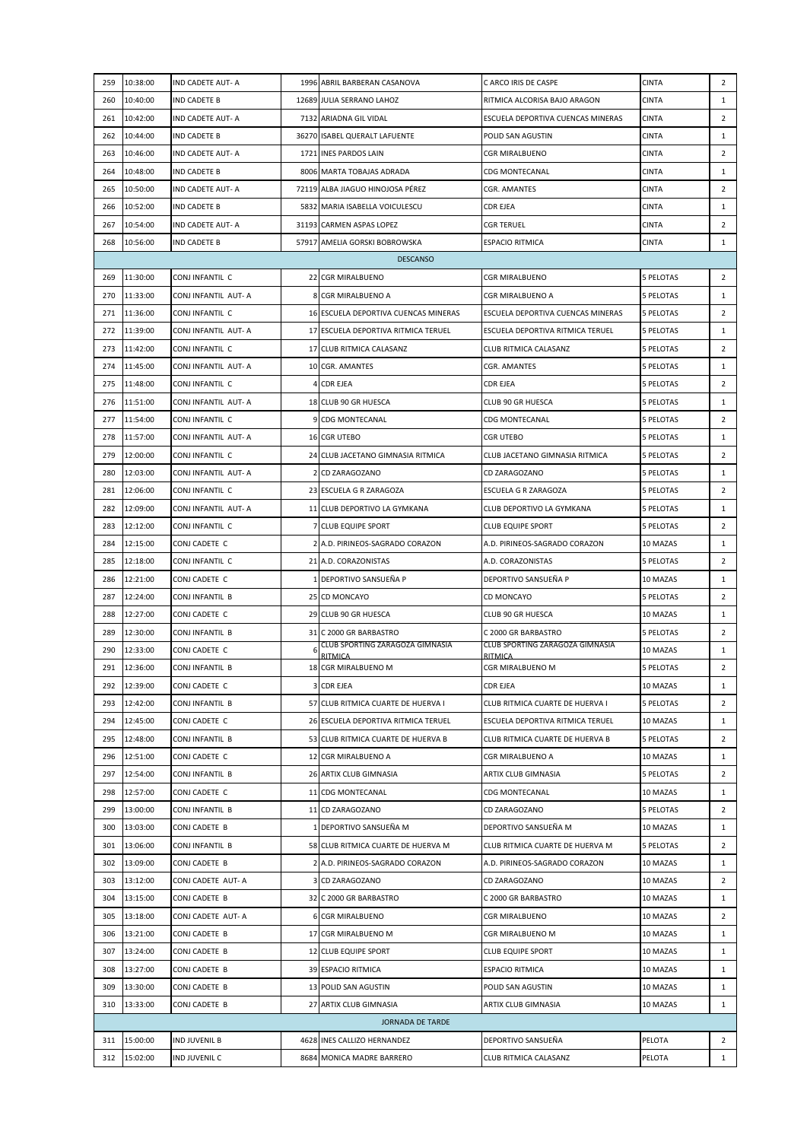| 259 | 10:38:00 | IND CADETE AUT- A    |   | 1996 ABRIL BARBERAN CASANOVA         | C ARCO IRIS DE CASPE               | <b>CINTA</b>     | $\overline{2}$ |
|-----|----------|----------------------|---|--------------------------------------|------------------------------------|------------------|----------------|
| 260 | 10:40:00 | <b>IND CADETE B</b>  |   | 12689 JULIA SERRANO LAHOZ            | RITMICA ALCORISA BAJO ARAGON       | <b>CINTA</b>     | 1              |
| 261 | 10:42:00 | IND CADETE AUT- A    |   | 7132 ARIADNA GIL VIDAL               | ESCUELA DEPORTIVA CUENCAS MINERAS  | <b>CINTA</b>     | $\overline{2}$ |
| 262 | 10:44:00 | <b>IND CADETE B</b>  |   | 36270 ISABEL QUERALT LAFUENTE        | POLID SAN AGUSTIN                  | <b>CINTA</b>     | 1              |
| 263 | 10:46:00 | IND CADETE AUT- A    |   | 1721 INES PARDOS LAIN                | <b>CGR MIRALBUENO</b>              | <b>CINTA</b>     | $\overline{2}$ |
| 264 | 10:48:00 | IND CADETE B         |   | 8006 MARTA TOBAJAS ADRADA            | <b>CDG MONTECANAL</b>              | <b>CINTA</b>     | 1              |
| 265 | 10:50:00 | IND CADETE AUT- A    |   | 72119 ALBA JIAGUO HINOJOSA PÉREZ     | CGR. AMANTES                       | <b>CINTA</b>     | $\overline{2}$ |
| 266 | 10:52:00 | <b>IND CADETE B</b>  |   | 5832 MARIA ISABELLA VOICULESCU       | CDR EJEA                           | <b>CINTA</b>     | 1              |
| 267 | 10:54:00 | IND CADETE AUT- A    |   | 31193 CARMEN ASPAS LOPEZ             | CGR TERUEL                         | <b>CINTA</b>     | $\overline{2}$ |
| 268 | 10:56:00 | IND CADETE B         |   | 57917 AMELIA GORSKI BOBROWSKA        | <b>ESPACIO RITMICA</b>             | <b>CINTA</b>     | $\mathbf{1}$   |
|     |          |                      |   | <b>DESCANSO</b>                      |                                    |                  |                |
| 269 | 11:30:00 | CONJ INFANTIL C      |   | 22 CGR MIRALBUENO                    | <b>CGR MIRALBUENO</b>              | 5 PELOTAS        | $\overline{2}$ |
| 270 | 11:33:00 | CONJ INFANTIL AUT- A |   | 8 CGR MIRALBUENO A                   | CGR MIRALBUENO A                   | 5 PELOTAS        | $\mathbf{1}$   |
| 271 | 11:36:00 | CONJ INFANTIL C      |   | 16 ESCUELA DEPORTIVA CUENCAS MINERAS | ESCUELA DEPORTIVA CUENCAS MINERAS  | 5 PELOTAS        | $\overline{2}$ |
| 272 | 11:39:00 | CONJ INFANTIL AUT- A |   | 17 ESCUELA DEPORTIVA RITMICA TERUEL  | ESCUELA DEPORTIVA RITMICA TERUEL   | 5 PELOTAS        | $\mathbf{1}$   |
| 273 | 11:42:00 | CONJ INFANTIL C      |   | 17 CLUB RITMICA CALASANZ             | CLUB RITMICA CALASANZ              | 5 PELOTAS        | $\overline{2}$ |
| 274 | 11:45:00 | CONJ INFANTIL AUT-A  |   | 10 CGR. AMANTES                      | CGR. AMANTES                       | 5 PELOTAS        | 1              |
| 275 | 11:48:00 | CONJ INFANTIL C      |   | 4 CDR EJEA                           | CDR EJEA                           | <b>5 PELOTAS</b> | $\overline{2}$ |
| 276 | 11:51:00 | CONJ INFANTIL AUT- A |   | 18 CLUB 90 GR HUESCA                 | CLUB 90 GR HUESCA                  | 5 PELOTAS        | 1              |
| 277 | 11:54:00 | CONJ INFANTIL C      |   | 9 CDG MONTECANAL                     | CDG MONTECANAL                     | 5 PELOTAS        | $\overline{2}$ |
| 278 | 11:57:00 | CONJ INFANTIL AUT- A |   | 16 CGR UTEBO                         | <b>CGR UTEBO</b>                   | 5 PELOTAS        | 1              |
| 279 | 12:00:00 | CONJ INFANTIL C      |   | 24 CLUB JACETANO GIMNASIA RITMICA    | CLUB JACETANO GIMNASIA RITMICA     | 5 PELOTAS        | $\overline{2}$ |
| 280 | 12:03:00 | CONJ INFANTIL AUT- A |   | 2 CD ZARAGOZANO                      | CD ZARAGOZANO                      | 5 PELOTAS        | $\mathbf{1}$   |
| 281 | 12:06:00 | CONJ INFANTIL C      |   | 23 ESCUELA G R ZARAGOZA              | ESCUELA G R ZARAGOZA               | 5 PELOTAS        | $\overline{2}$ |
| 282 | 12:09:00 | CONJ INFANTIL AUT- A |   | 11 CLUB DEPORTIVO LA GYMKANA         | CLUB DEPORTIVO LA GYMKANA          | 5 PELOTAS        | 1              |
| 283 | 12:12:00 | CONJ INFANTIL C      |   | 7 CLUB EQUIPE SPORT                  | <b>CLUB EQUIPE SPORT</b>           | <b>5 PELOTAS</b> | $\overline{2}$ |
| 284 | 12:15:00 | CONJ CADETE C        |   | 2 A.D. PIRINEOS-SAGRADO CORAZON      | A.D. PIRINEOS-SAGRADO CORAZON      | 10 MAZAS         | 1              |
| 285 | 12:18:00 | CONJ INFANTIL C      |   | 21 A.D. CORAZONISTAS                 | A.D. CORAZONISTAS                  | 5 PELOTAS        | 2              |
| 286 | 12:21:00 | CONJ CADETE C        |   | 1 DEPORTIVO SANSUEÑA P               | DEPORTIVO SANSUEÑA P               | 10 MAZAS         | $\mathbf{1}$   |
| 287 | 12:24:00 | CONJ INFANTIL B      |   | 25 CD MONCAYO                        | CD MONCAYO                         | 5 PELOTAS        | $\overline{2}$ |
| 288 | 12:27:00 | CONJ CADETE C        |   | 29 CLUB 90 GR HUESCA                 | CLUB 90 GR HUESCA                  | 10 MAZAS         | $\mathbf{1}$   |
| 289 | 12:30:00 | CONJ INFANTIL B      |   | 31 C 2000 GR BARBASTRO               | C 2000 GR BARBASTRO                | 5 PELOTAS        | $\overline{2}$ |
| 290 | 12:33:00 | CONJ CADETE C        | 6 | CLUB SPORTING ZARAGOZA GIMNASIA      | CLUB SPORTING ZARAGOZA GIMNASIA    | 10 MAZAS         | 1              |
| 291 | 12:36:00 | CONJ INFANTIL B      |   | RITMICA<br>18 CGR MIRALBUENO M       | <b>RITMICA</b><br>CGR MIRALBUENO M | <b>5 PELOTAS</b> | $\overline{2}$ |
| 292 | 12:39:00 | CONJ CADETE C        |   | 3 CDR EJEA                           | CDR EJEA                           | 10 MAZAS         | 1              |
| 293 | 12:42:00 | CONJ INFANTIL B      |   | 57 CLUB RITMICA CUARTE DE HUERVA I   | CLUB RITMICA CUARTE DE HUERVA I    | 5 PELOTAS        | 2              |
| 294 | 12:45:00 | CONJ CADETE C        |   | 26 ESCUELA DEPORTIVA RITMICA TERUEL  | ESCUELA DEPORTIVA RITMICA TERUEL   | 10 MAZAS         | 1              |
| 295 | 12:48:00 | CONJ INFANTIL B      |   | 53 CLUB RITMICA CUARTE DE HUERVA B   | CLUB RITMICA CUARTE DE HUERVA B    | 5 PELOTAS        | $\overline{2}$ |
| 296 | 12:51:00 | CONJ CADETE C        |   | 12 CGR MIRALBUENO A                  | CGR MIRALBUENO A                   | 10 MAZAS         | 1              |
| 297 | 12:54:00 | CONJ INFANTIL B      |   | 26 ARTIX CLUB GIMNASIA               | ARTIX CLUB GIMNASIA                | 5 PELOTAS        | $\overline{2}$ |
| 298 | 12:57:00 | CONJ CADETE C        |   | 11 CDG MONTECANAL                    | CDG MONTECANAL                     | 10 MAZAS         | 1              |
| 299 | 13:00:00 | CONJ INFANTIL B      |   | 11 CD ZARAGOZANO                     | CD ZARAGOZANO                      | 5 PELOTAS        | $\overline{2}$ |
| 300 | 13:03:00 | CONJ CADETE B        |   | 1 DEPORTIVO SANSUEÑA M               | DEPORTIVO SANSUEÑA M               | 10 MAZAS         | $\mathbf{1}$   |
| 301 | 13:06:00 | CONJ INFANTIL B      |   | 58 CLUB RITMICA CUARTE DE HUERVA M   | CLUB RITMICA CUARTE DE HUERVA M    | 5 PELOTAS        | $\overline{2}$ |
| 302 | 13:09:00 | CONJ CADETE B        |   | 2 A.D. PIRINEOS-SAGRADO CORAZON      | A.D. PIRINEOS-SAGRADO CORAZON      | 10 MAZAS         | 1              |
| 303 | 13:12:00 | CONJ CADETE AUT- A   |   | 3 CD ZARAGOZANO                      | CD ZARAGOZANO                      | 10 MAZAS         | $\overline{2}$ |
| 304 | 13:15:00 | CONJ CADETE B        |   | 32 C 2000 GR BARBASTRO               | C 2000 GR BARBASTRO                | 10 MAZAS         | $\mathbf{1}$   |
| 305 | 13:18:00 | CONJ CADETE AUT- A   |   | <b>6 CGR MIRALBUENO</b>              | <b>CGR MIRALBUENO</b>              | 10 MAZAS         | $\overline{2}$ |
| 306 | 13:21:00 | CONJ CADETE B        |   | 17 CGR MIRALBUENO M                  | CGR MIRALBUENO M                   | 10 MAZAS         | 1              |
| 307 | 13:24:00 | CONJ CADETE B        |   | 12 CLUB EQUIPE SPORT                 | <b>CLUB EQUIPE SPORT</b>           | 10 MAZAS         | 1              |
| 308 | 13:27:00 | CONJ CADETE B        |   | 39 ESPACIO RITMICA                   | ESPACIO RITMICA                    | 10 MAZAS         | $\mathbf{1}$   |
| 309 | 13:30:00 | CONJ CADETE B        |   | 13 POLID SAN AGUSTIN                 | POLID SAN AGUSTIN                  | 10 MAZAS         | 1              |
| 310 | 13:33:00 | CONJ CADETE B        |   | 27 ARTIX CLUB GIMNASIA               | ARTIX CLUB GIMNASIA                | 10 MAZAS         | $\mathbf{1}$   |
|     |          |                      |   | <b>JORNADA DE TARDE</b>              |                                    |                  |                |
| 311 | 15:00:00 | IND JUVENIL B        |   | 4628 INES CALLIZO HERNANDEZ          | DEPORTIVO SANSUEÑA                 | PELOTA           | 2              |
| 312 | 15:02:00 | IND JUVENIL C        |   | 8684 MONICA MADRE BARRERO            | CLUB RITMICA CALASANZ              | PELOTA           | 1              |
|     |          |                      |   |                                      |                                    |                  |                |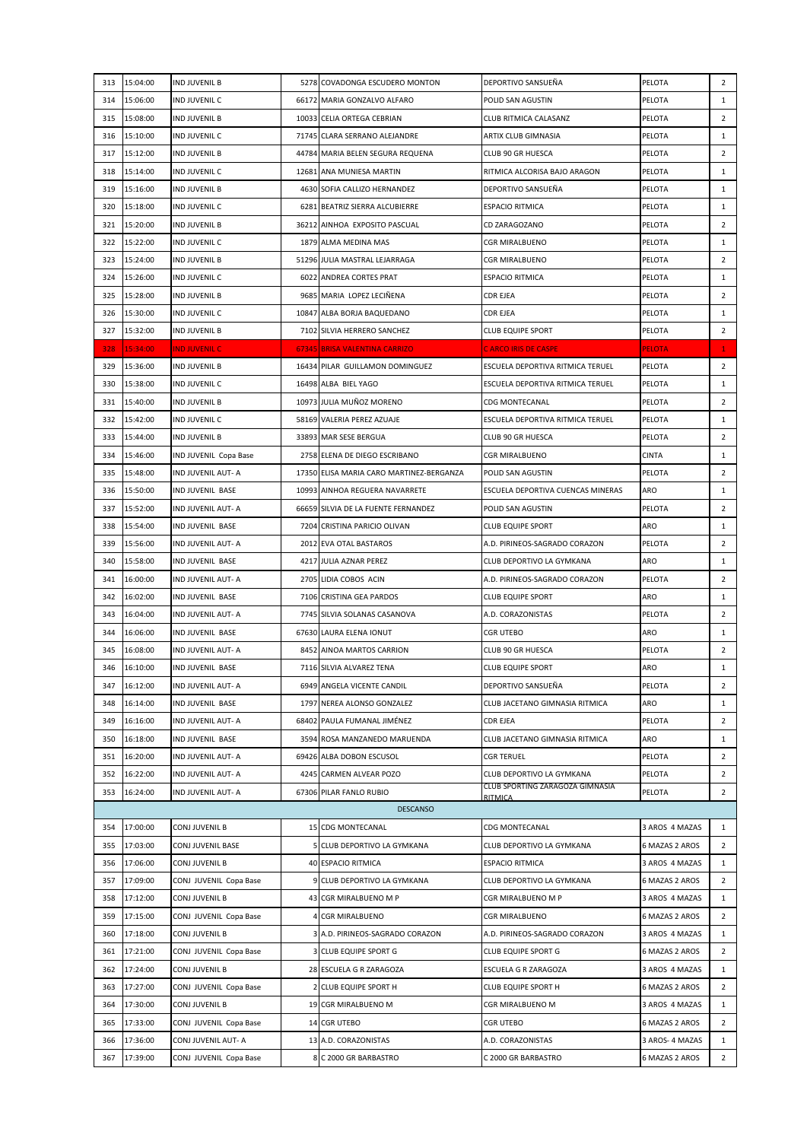| 313 | 15:04:00 | <b>IND JUVENIL B</b>   | 5278 COVADONGA ESCUDERO MONTON           | DEPORTIVO SANSUEÑA                         | PELOTA          | $\overline{2}$ |
|-----|----------|------------------------|------------------------------------------|--------------------------------------------|-----------------|----------------|
| 314 | 15:06:00 | IND JUVENIL C          | 66172 MARIA GONZALVO ALFARO              | POLID SAN AGUSTIN                          | PELOTA          | $\mathbf{1}$   |
| 315 | 15:08:00 | <b>IND JUVENIL B</b>   | 10033 CELIA ORTEGA CEBRIAN               | CLUB RITMICA CALASANZ                      | PELOTA          | $\overline{2}$ |
| 316 | 15:10:00 | IND JUVENIL C          | 71745 CLARA SERRANO ALEJANDRE            | ARTIX CLUB GIMNASIA                        | PELOTA          | $\mathbf{1}$   |
| 317 | 15:12:00 | IND JUVENIL B          | 44784 MARIA BELEN SEGURA REQUENA         | CLUB 90 GR HUESCA                          | PELOTA          | $\overline{2}$ |
| 318 | 15:14:00 | IND JUVENIL C          | 12681 ANA MUNIESA MARTIN                 | RITMICA ALCORISA BAJO ARAGON               | PELOTA          | $\mathbf{1}$   |
| 319 | 15:16:00 | IND JUVENIL B          | 4630 SOFIA CALLIZO HERNANDEZ             | DEPORTIVO SANSUEÑA                         | PELOTA          | $\mathbf{1}$   |
| 320 | 15:18:00 | IND JUVENIL C          | 6281 BEATRIZ SIERRA ALCUBIERRE           | <b>ESPACIO RITMICA</b>                     | PELOTA          | $\mathbf{1}$   |
| 321 | 15:20:00 | IND JUVENIL B          | 36212 AINHOA EXPOSITO PASCUAL            | CD ZARAGOZANO                              | PELOTA          | $\overline{2}$ |
| 322 | 15:22:00 | IND JUVENIL C          | 1879 ALMA MEDINA MAS                     | CGR MIRALBUENO                             | PELOTA          | $\mathbf{1}$   |
| 323 | 15:24:00 | IND JUVENIL B          | 51296 JULIA MASTRAL LEJARRAGA            | CGR MIRALBUENO                             | PELOTA          | $\overline{2}$ |
| 324 | 15:26:00 | IND JUVENIL C          | 6022 ANDREA CORTES PRAT                  | ESPACIO RITMICA                            | PELOTA          | $\mathbf{1}$   |
| 325 | 15:28:00 | <b>IND JUVENIL B</b>   | 9685 MARIA LOPEZ LECIÑENA                | CDR EJEA                                   | PELOTA          | $\overline{2}$ |
| 326 | 15:30:00 | IND JUVENIL C          | 10847 ALBA BORJA BAQUEDANO               | CDR EJEA                                   | PELOTA          | 1              |
| 327 | 15:32:00 | IND JUVENIL B          | 7102 SILVIA HERRERO SANCHEZ              | <b>CLUB EQUIPE SPORT</b>                   | PELOTA          | $\overline{2}$ |
| 328 | 15:34:00 | <b>IND JUVENIL C</b>   | 67345 BRISA VALENTINA CARRIZO            | <b>CARCO IRIS DE CASPE</b>                 | <b>PELOTA</b>   | $\mathbf{1}$   |
| 329 | 15:36:00 | <b>IND JUVENIL B</b>   | 16434 PILAR GUILLAMON DOMINGUEZ          | ESCUELA DEPORTIVA RITMICA TERUEL           | PELOTA          | $\overline{2}$ |
| 330 | 15:38:00 | IND JUVENIL C          | 16498 ALBA BIEL YAGO                     | ESCUELA DEPORTIVA RITMICA TERUEL           | PELOTA          | $\mathbf{1}$   |
| 331 | 15:40:00 | <b>IND JUVENIL B</b>   | 10973 JULIA MUÑOZ MORENO                 | CDG MONTECANAL                             | PELOTA          | $\overline{2}$ |
| 332 | 15:42:00 | IND JUVENIL C          | 58169 VALERIA PEREZ AZUAJE               | ESCUELA DEPORTIVA RITMICA TERUEL           | PELOTA          | $\mathbf{1}$   |
| 333 | 15:44:00 | IND JUVENIL B          | 33893 MAR SESE BERGUA                    | CLUB 90 GR HUESCA                          | PELOTA          | $\overline{2}$ |
|     |          | IND JUVENIL Copa Base  |                                          |                                            |                 | 1              |
| 334 | 15:46:00 |                        | 2758 ELENA DE DIEGO ESCRIBANO            | CGR MIRALBUENO                             | <b>CINTA</b>    |                |
| 335 | 15:48:00 | IND JUVENIL AUT- A     | 17350 ELISA MARIA CARO MARTINEZ-BERGANZA | POLID SAN AGUSTIN                          | PELOTA          | $\overline{2}$ |
| 336 | 15:50:00 | IND JUVENIL BASE       | 10993 AINHOA REGUERA NAVARRETE           | ESCUELA DEPORTIVA CUENCAS MINERAS          | ARO             | $\mathbf{1}$   |
| 337 | 15:52:00 | IND JUVENIL AUT- A     | 66659 SILVIA DE LA FUENTE FERNANDEZ      | POLID SAN AGUSTIN                          | PELOTA          | $\overline{2}$ |
| 338 | 15:54:00 | IND JUVENIL BASE       | 7204 CRISTINA PARICIO OLIVAN             | <b>CLUB EQUIPE SPORT</b>                   | ARO             | $\mathbf{1}$   |
| 339 | 15:56:00 | IND JUVENIL AUT- A     | 2012 EVA OTAL BASTAROS                   | A.D. PIRINEOS-SAGRADO CORAZON              | PELOTA          | $\overline{2}$ |
| 340 | 15:58:00 | IND JUVENIL BASE       | 4217 JULIA AZNAR PEREZ                   | CLUB DEPORTIVO LA GYMKANA                  | ARO             | 1              |
| 341 | 16:00:00 | IND JUVENIL AUT- A     | 2705 LIDIA COBOS ACIN                    | A.D. PIRINEOS-SAGRADO CORAZON              | PELOTA          | $\overline{2}$ |
| 342 | 16:02:00 | IND JUVENIL BASE       | 7106 CRISTINA GEA PARDOS                 | <b>CLUB EQUIPE SPORT</b>                   | ARO             | $\mathbf{1}$   |
| 343 | 16:04:00 | IND JUVENIL AUT- A     | 7745 SILVIA SOLANAS CASANOVA             | A.D. CORAZONISTAS                          | PELOTA          | $\overline{2}$ |
| 344 | 16:06:00 | IND JUVENIL BASE       | 67630 LAURA ELENA IONUT                  | CGR UTEBO                                  | ARO             | $\mathbf{1}$   |
| 345 | 16:08:00 | IND JUVENIL AUT- A     | 8452 AINOA MARTOS CARRION                | CLUB 90 GR HUESCA                          | PELOTA          | $\overline{2}$ |
| 346 | 16:10:00 | IND JUVENIL BASE       | 7116 SILVIA ALVAREZ TENA                 | <b>CLUB EQUIPE SPORT</b>                   | ARO             | $\mathbf{1}$   |
| 347 | 16:12:00 | IND JUVENIL AUT- A     | 6949 ANGELA VICENTE CANDIL               | DEPORTIVO SANSUENA                         | PELOTA          | $\overline{2}$ |
| 348 | 16:14:00 | IND JUVENIL BASE       | 1797 NEREA ALONSO GONZALEZ               | CLUB JACETANO GIMNASIA RITMICA             | ARO             | $\mathbf{1}$   |
| 349 | 16:16:00 | IND JUVENIL AUT- A     | 68402 PAULA FUMANAL JIMÉNEZ              | CDR EJEA                                   | PELOTA          | $\overline{2}$ |
| 350 | 16:18:00 | IND JUVENIL BASE       | 3594 ROSA MANZANEDO MARUENDA             | CLUB JACETANO GIMNASIA RITMICA             | ARO             | $\mathbf{1}$   |
| 351 | 16:20:00 | IND JUVENIL AUT- A     | 69426 ALBA DOBON ESCUSOL                 | CGR TERUEL                                 | PELOTA          | $\overline{2}$ |
| 352 | 16:22:00 | IND JUVENIL AUT- A     | 4245 CARMEN ALVEAR POZO                  | CLUB DEPORTIVO LA GYMKANA                  | PELOTA          | $\overline{2}$ |
| 353 | 16:24:00 | IND JUVENIL AUT- A     | 67306 PILAR FANLO RUBIO                  | CLUB SPORTING ZARAGOZA GIMNASIA<br>RITMICA | PELOTA          | $\overline{2}$ |
|     |          |                        | <b>DESCANSO</b>                          |                                            |                 |                |
| 354 | 17:00:00 | CONJ JUVENIL B         | 15 CDG MONTECANAL                        | CDG MONTECANAL                             | 3 AROS 4 MAZAS  | $\mathbf{1}$   |
| 355 | 17:03:00 | CONJ JUVENIL BASE      | 5 CLUB DEPORTIVO LA GYMKANA              | CLUB DEPORTIVO LA GYMKANA                  | 6 MAZAS 2 AROS  | $\overline{2}$ |
| 356 | 17:06:00 | CONJ JUVENIL B         | 40 ESPACIO RITMICA                       | ESPACIO RITMICA                            | 3 AROS 4 MAZAS  | $\mathbf{1}$   |
| 357 | 17:09:00 | CONJ JUVENIL Copa Base | 9 CLUB DEPORTIVO LA GYMKANA              | CLUB DEPORTIVO LA GYMKANA                  | 6 MAZAS 2 AROS  | $\overline{2}$ |
| 358 | 17:12:00 | CONJ JUVENIL B         | 43 CGR MIRALBUENO M P                    | CGR MIRALBUENO M P                         | 3 AROS 4 MAZAS  | $\mathbf{1}$   |
| 359 | 17:15:00 | CONJ JUVENIL Copa Base | 4 CGR MIRALBUENO                         | CGR MIRALBUENO                             | 6 MAZAS 2 AROS  | $\overline{2}$ |
| 360 | 17:18:00 | CONJ JUVENIL B         | 3 A.D. PIRINEOS-SAGRADO CORAZON          | A.D. PIRINEOS-SAGRADO CORAZON              | 3 AROS 4 MAZAS  | $\mathbf{1}$   |
| 361 | 17:21:00 | CONJ JUVENIL Copa Base | <b>3 CLUB EQUIPE SPORT G</b>             | CLUB EQUIPE SPORT G                        | 6 MAZAS 2 AROS  | $\overline{2}$ |
| 362 | 17:24:00 | CONJ JUVENIL B         | 28 ESCUELA G R ZARAGOZA                  | ESCUELA G R ZARAGOZA                       | 3 AROS 4 MAZAS  | $\mathbf{1}$   |
| 363 | 17:27:00 | CONJ JUVENIL Copa Base | 2 CLUB EQUIPE SPORT H                    | CLUB EQUIPE SPORT H                        | 6 MAZAS 2 AROS  | $\overline{2}$ |
| 364 | 17:30:00 | CONJ JUVENIL B         | 19 CGR MIRALBUENO M                      | CGR MIRALBUENO M                           | 3 AROS 4 MAZAS  | $\mathbf{1}$   |
| 365 | 17:33:00 | CONJ JUVENIL Copa Base | 14 CGR UTEBO                             | CGR UTEBO                                  | 6 MAZAS 2 AROS  | $\overline{2}$ |
| 366 | 17:36:00 | CONJ JUVENIL AUT- A    | 13 A.D. CORAZONISTAS                     | A.D. CORAZONISTAS                          | 3 AROS- 4 MAZAS | 1              |
| 367 | 17:39:00 | CONJ JUVENIL Copa Base | 8 C 2000 GR BARBASTRO                    | C 2000 GR BARBASTRO                        | 6 MAZAS 2 AROS  | $\overline{2}$ |
|     |          |                        |                                          |                                            |                 |                |